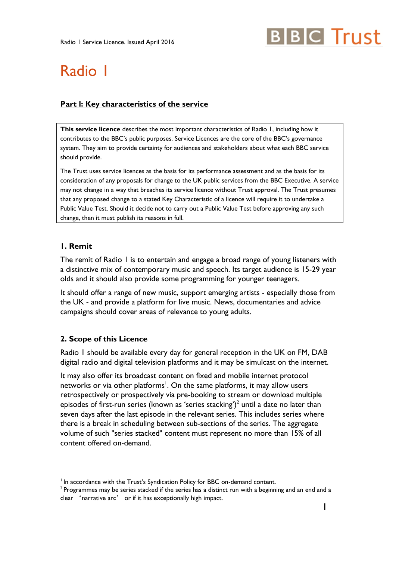# **BBC** Trust

# Radio 1

#### **Part l: Key characteristics of the service**

**This service licence** describes the most important characteristics of Radio 1, including how it contributes to the BBC's public purposes. Service Licences are the core of the BBC's governance system. They aim to provide certainty for audiences and stakeholders about what each BBC service should provide.

The Trust uses service licences as the basis for its performance assessment and as the basis for its consideration of any proposals for change to the UK public services from the BBC Executive. A service may not change in a way that breaches its service licence without Trust approval. The Trust presumes that any proposed change to a stated Key Characteristic of a licence will require it to undertake a Public Value Test. Should it decide not to carry out a Public Value Test before approving any such change, then it must publish its reasons in full.

#### **1. Remit**

<u>.</u>

The remit of Radio 1 is to entertain and engage a broad range of young listeners with a distinctive mix of contemporary music and speech. Its target audience is 15-29 year olds and it should also provide some programming for younger teenagers.

It should offer a range of new music, support emerging artists - especially those from the UK - and provide a platform for live music. News, documentaries and advice campaigns should cover areas of relevance to young adults.

#### **2. Scope of this Licence**

Radio 1 should be available every day for general reception in the UK on FM, DAB digital radio and digital television platforms and it may be simulcast on the internet.

It may also offer its broadcast content on fixed and mobile internet protocol networks or via other platforms<sup>1</sup>. On the same platforms, it may allow users retrospectively or prospectively via pre-booking to stream or download multiple episodes of first-run series (known as 'series stacking')<sup>2</sup> until a date no later than seven days after the last episode in the relevant series. This includes series where there is a break in scheduling between sub-sections of the series. The aggregate volume of such "series stacked" content must represent no more than 15% of all content offered on-demand.

<sup>&</sup>lt;sup>1</sup> In accordance with the Trust's Syndication Policy for BBC on-demand content.

 $2$  Programmes may be series stacked if the series has a distinct run with a beginning and an end and a clear 'narrative arc' or if it has exceptionally high impact.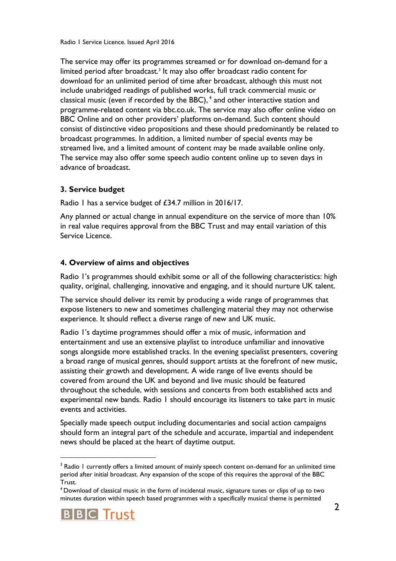The service may offer its programmes streamed or for download on-demand for a limited period after broadcast.<sup>3</sup> It may also offer broadcast radio content for download for an unlimited period of time after broadcast, although this must not include unabridged readings of published works, full track commercial music or classical music (even if recorded by the BBC),<sup>4</sup> and other interactive station and programme-related content via bbc.co.uk. The service may also offer online video on BBC Online and on other providers' platforms on-demand. Such content should consist of distinctive video propositions and these should predominantly be related to broadcast programmes. In addition, a limited number of special events may be streamed live, and a limited amount of content may be made available online only. The service may also offer some speech audio content online up to seven days in advance of broadcast.

# **3. Service budget**

Radio 1 has a service budget of £34.7 million in 2016/17.

Any planned or actual change in annual expenditure on the service of more than 10% in real value requires approval from the BBC Trust and may entail variation of this Service Licence.

# **4. Overview of aims and objectives**

Radio 1's programmes should exhibit some or all of the following characteristics: high quality, original, challenging, innovative and engaging, and it should nurture UK talent.

The service should deliver its remit by producing a wide range of programmes that expose listeners to new and sometimes challenging material they may not otherwise experience. It should reflect a diverse range of new and UK music.

Radio 1's daytime programmes should offer a mix of music, information and entertainment and use an extensive playlist to introduce unfamiliar and innovative songs alongside more established tracks. In the evening specialist presenters, covering a broad range of musical genres, should support artists at the forefront of new music, assisting their growth and development. A wide range of live events should be covered from around the UK and beyond and live music should be featured throughout the schedule, with sessions and concerts from both established acts and experimental new bands. Radio 1 should encourage its listeners to take part in music events and activities.

Specially made speech output including documentaries and social action campaigns should form an integral part of the schedule and accurate, impartial and independent news should be placed at the heart of daytime output.

<sup>4</sup> Download of classical music in the form of incidental music, signature tunes or clips of up to two minutes duration within speech based programmes with a specifically musical theme is permitted



<sup>&</sup>lt;sup>3</sup> Radio 1 currently offers a limited amount of mainly speech content on-demand for an unlimited time period after initial broadcast. Any expansion of the scope of this requires the approval of the BBC Trust.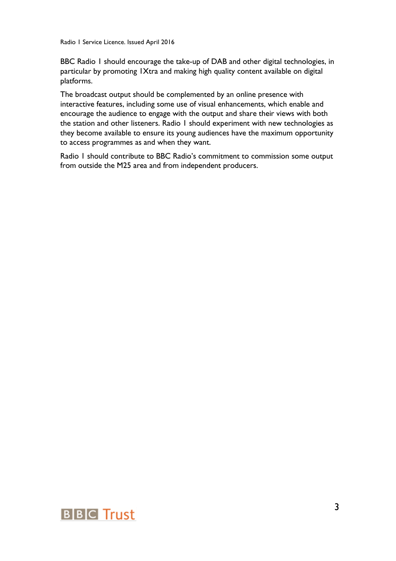Radio 1 Service Licence. Issued April 2016

BBC Radio 1 should encourage the take-up of DAB and other digital technologies, in particular by promoting 1Xtra and making high quality content available on digital platforms.

The broadcast output should be complemented by an online presence with interactive features, including some use of visual enhancements, which enable and encourage the audience to engage with the output and share their views with both the station and other listeners. Radio 1 should experiment with new technologies as they become available to ensure its young audiences have the maximum opportunity to access programmes as and when they want.

Radio 1 should contribute to BBC Radio's commitment to commission some output from outside the M25 area and from independent producers.

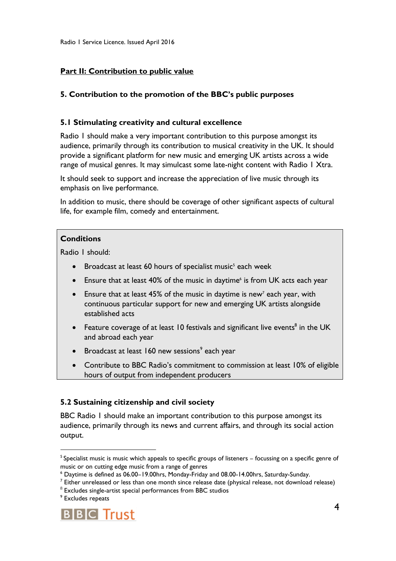#### **Part II: Contribution to public value**

#### **5. Contribution to the promotion of the BBC's public purposes**

#### **5.1 Stimulating creativity and cultural excellence**

Radio 1 should make a very important contribution to this purpose amongst its audience, primarily through its contribution to musical creativity in the UK. It should provide a significant platform for new music and emerging UK artists across a wide range of musical genres. It may simulcast some late-night content with Radio 1 Xtra.

It should seek to support and increase the appreciation of live music through its emphasis on live performance.

In addition to music, there should be coverage of other significant aspects of cultural life, for example film, comedy and entertainment.

#### **Conditions**

Radio 1 should:

- Broadcast at least 60 hours of specialist music<sup>5</sup> each week
- Ensure that at least 40% of the music in daytime<sup>6</sup> is from UK acts each year
- **Ensure that at least 45% of the music in daytime is new<sup>7</sup> each year, with** continuous particular support for new and emerging UK artists alongside established acts
- Feature coverage of at least 10 festivals and significant live events<sup>8</sup> in the UK and abroad each year
- Broadcast at least 160 new sessions<sup>9</sup> each year
- Contribute to BBC Radio's commitment to commission at least 10% of eligible hours of output from independent producers

#### **5.2 Sustaining citizenship and civil society**

BBC Radio 1 should make an important contribution to this purpose amongst its audience, primarily through its news and current affairs, and through its social action output.



<sup>&</sup>lt;sup>5</sup> Specialist music is music which appeals to specific groups of listeners – focussing on a specific genre of music or on cutting edge music from a range of genres

<sup>6</sup> Daytime is defined as 06.00–19.00hrs, Monday-Friday and 08.00-14.00hrs, Saturday-Sunday.

 $7$  Either unreleased or less than one month since release date (physical release, not download release)

 $8$  Excludes single-artist special performances from BBC studios

<sup>&</sup>lt;sup>9</sup> Excludes repeats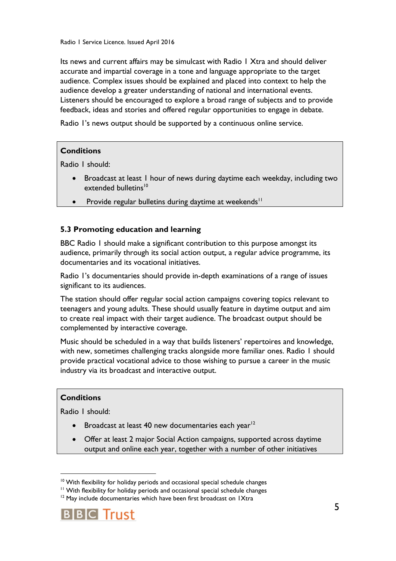Its news and current affairs may be simulcast with Radio 1 Xtra and should deliver accurate and impartial coverage in a tone and language appropriate to the target audience. Complex issues should be explained and placed into context to help the audience develop a greater understanding of national and international events. Listeners should be encouraged to explore a broad range of subjects and to provide feedback, ideas and stories and offered regular opportunities to engage in debate.

Radio 1's news output should be supported by a continuous online service.

#### **Conditions**

Radio 1 should:

- Broadcast at least 1 hour of news during daytime each weekday, including two extended bulletins<sup>10</sup>
- Provide regular bulletins during daytime at weekends<sup>11</sup>

# **5.3 Promoting education and learning**

BBC Radio 1 should make a significant contribution to this purpose amongst its audience, primarily through its social action output, a regular advice programme, its documentaries and its vocational initiatives.

Radio 1's documentaries should provide in-depth examinations of a range of issues significant to its audiences.

The station should offer regular social action campaigns covering topics relevant to teenagers and young adults. These should usually feature in daytime output and aim to create real impact with their target audience. The broadcast output should be complemented by interactive coverage.

Music should be scheduled in a way that builds listeners' repertoires and knowledge, with new, sometimes challenging tracks alongside more familiar ones. Radio 1 should provide practical vocational advice to those wishing to pursue a career in the music industry via its broadcast and interactive output.

#### **Conditions**

1

Radio 1 should:

- **Broadcast at least 40 new documentaries each year**<sup>12</sup>
- Offer at least 2 major Social Action campaigns, supported across daytime output and online each year, together with a number of other initiatives

 $12$  May include documentaries which have been first broadcast on IXtra



<sup>&</sup>lt;sup>10</sup> With flexibility for holiday periods and occasional special schedule changes

<sup>&</sup>lt;sup>11</sup> With flexibility for holiday periods and occasional special schedule changes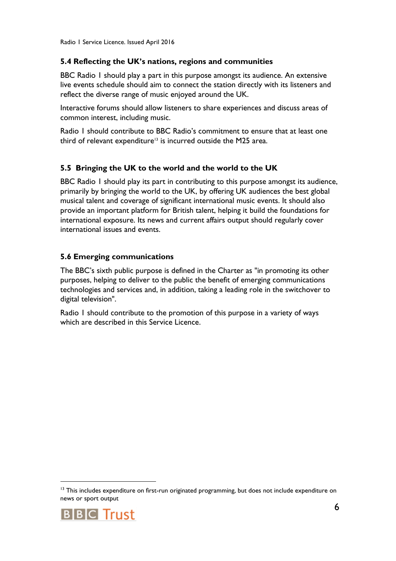#### **5.4 Reflecting the UK's nations, regions and communities**

BBC Radio 1 should play a part in this purpose amongst its audience. An extensive live events schedule should aim to connect the station directly with its listeners and reflect the diverse range of music enjoyed around the UK.

Interactive forums should allow listeners to share experiences and discuss areas of common interest, including music.

Radio 1 should contribute to BBC Radio's commitment to ensure that at least one third of relevant expenditure<sup>13</sup> is incurred outside the M25 area.

# **5.5 Bringing the UK to the world and the world to the UK**

BBC Radio 1 should play its part in contributing to this purpose amongst its audience, primarily by bringing the world to the UK, by offering UK audiences the best global musical talent and coverage of significant international music events. It should also provide an important platform for British talent, helping it build the foundations for international exposure. Its news and current affairs output should regularly cover international issues and events.

#### **5.6 Emerging communications**

The BBC's sixth public purpose is defined in the Charter as "in promoting its other purposes, helping to deliver to the public the benefit of emerging communications technologies and services and, in addition, taking a leading role in the switchover to digital television".

Radio 1 should contribute to the promotion of this purpose in a variety of ways which are described in this Service Licence.

<sup>&</sup>lt;sup>13</sup> This includes expenditure on first-run originated programming, but does not include expenditure on news or sport output